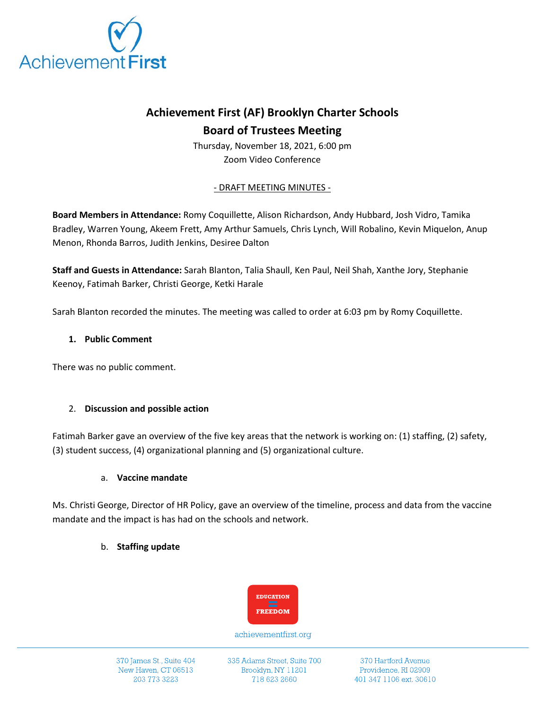

# **Achievement First (AF) Brooklyn Charter Schools Board of Trustees Meeting**

Thursday, November 18, 2021, 6:00 pm Zoom Video Conference

## - DRAFT MEETING MINUTES -

**Board Members in Attendance:** Romy Coquillette, Alison Richardson, Andy Hubbard, Josh Vidro, Tamika Bradley, Warren Young, Akeem Frett, Amy Arthur Samuels, Chris Lynch, Will Robalino, Kevin Miquelon, Anup Menon, Rhonda Barros, Judith Jenkins, Desiree Dalton

**Staff and Guests in Attendance:** Sarah Blanton, Talia Shaull, Ken Paul, Neil Shah, Xanthe Jory, Stephanie Keenoy, Fatimah Barker, Christi George, Ketki Harale

Sarah Blanton recorded the minutes. The meeting was called to order at 6:03 pm by Romy Coquillette.

## **1. Public Comment**

There was no public comment.

## 2. **Discussion and possible action**

Fatimah Barker gave an overview of the five key areas that the network is working on: (1) staffing, (2) safety, (3) student success, (4) organizational planning and (5) organizational culture.

#### a. **Vaccine mandate**

Ms. Christi George, Director of HR Policy, gave an overview of the timeline, process and data from the vaccine mandate and the impact is has had on the schools and network.

#### b. **Staffing update**



achievementfirst.org

370 James St., Suite 404 New Haven, CT 06513 203 773 3223

335 Adams Street, Suite 700 Brooklyn, NY 11201 718 623 2660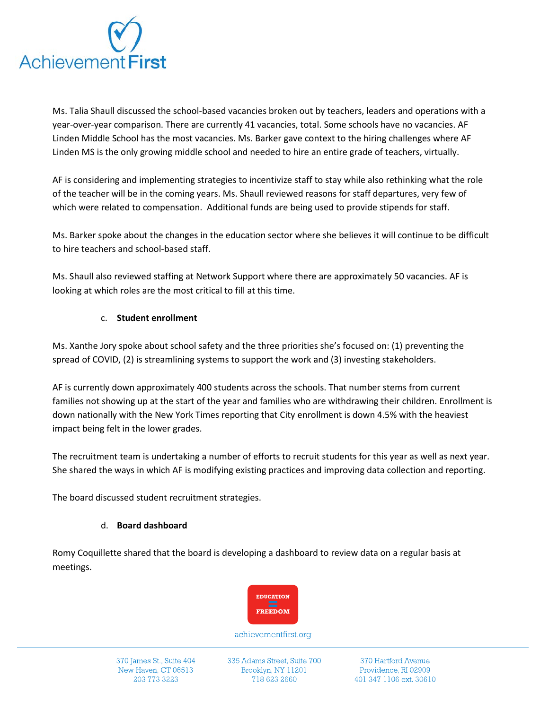

Ms. Talia Shaull discussed the school-based vacancies broken out by teachers, leaders and operations with a year-over-year comparison. There are currently 41 vacancies, total. Some schools have no vacancies. AF Linden Middle School has the most vacancies. Ms. Barker gave context to the hiring challenges where AF Linden MS is the only growing middle school and needed to hire an entire grade of teachers, virtually.

AF is considering and implementing strategies to incentivize staff to stay while also rethinking what the role of the teacher will be in the coming years. Ms. Shaull reviewed reasons for staff departures, very few of which were related to compensation. Additional funds are being used to provide stipends for staff.

Ms. Barker spoke about the changes in the education sector where she believes it will continue to be difficult to hire teachers and school-based staff.

Ms. Shaull also reviewed staffing at Network Support where there are approximately 50 vacancies. AF is looking at which roles are the most critical to fill at this time.

## c. **Student enrollment**

Ms. Xanthe Jory spoke about school safety and the three priorities she's focused on: (1) preventing the spread of COVID, (2) is streamlining systems to support the work and (3) investing stakeholders.

AF is currently down approximately 400 students across the schools. That number stems from current families not showing up at the start of the year and families who are withdrawing their children. Enrollment is down nationally with the New York Times reporting that City enrollment is down 4.5% with the heaviest impact being felt in the lower grades.

The recruitment team is undertaking a number of efforts to recruit students for this year as well as next year. She shared the ways in which AF is modifying existing practices and improving data collection and reporting.

The board discussed student recruitment strategies.

## d. **Board dashboard**

Romy Coquillette shared that the board is developing a dashboard to review data on a regular basis at meetings.



achievementfirst.org

370 James St., Suite 404 New Haven, CT 06513 203 773 3223

335 Adams Street, Suite 700 Brooklyn, NY 11201 718 623 2660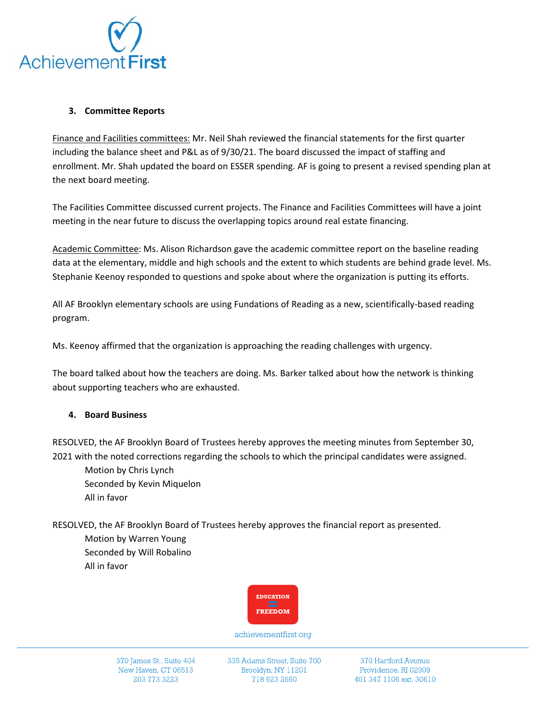

## **3. Committee Reports**

Finance and Facilities committees: Mr. Neil Shah reviewed the financial statements for the first quarter including the balance sheet and P&L as of 9/30/21. The board discussed the impact of staffing and enrollment. Mr. Shah updated the board on ESSER spending. AF is going to present a revised spending plan at the next board meeting.

The Facilities Committee discussed current projects. The Finance and Facilities Committees will have a joint meeting in the near future to discuss the overlapping topics around real estate financing.

Academic Committee: Ms. Alison Richardson gave the academic committee report on the baseline reading data at the elementary, middle and high schools and the extent to which students are behind grade level. Ms. Stephanie Keenoy responded to questions and spoke about where the organization is putting its efforts.

All AF Brooklyn elementary schools are using Fundations of Reading as a new, scientifically-based reading program.

Ms. Keenoy affirmed that the organization is approaching the reading challenges with urgency.

The board talked about how the teachers are doing. Ms. Barker talked about how the network is thinking about supporting teachers who are exhausted.

#### **4. Board Business**

RESOLVED, the AF Brooklyn Board of Trustees hereby approves the meeting minutes from September 30, 2021 with the noted corrections regarding the schools to which the principal candidates were assigned.

Motion by Chris Lynch Seconded by Kevin Miquelon All in favor

RESOLVED, the AF Brooklyn Board of Trustees hereby approves the financial report as presented.

Motion by Warren Young Seconded by Will Robalino All in favor



achievementfirst.org

370 James St., Suite 404 New Haven, CT 06513 203 773 3223

335 Adams Street, Suite 700 Brooklyn, NY 11201 718 623 2660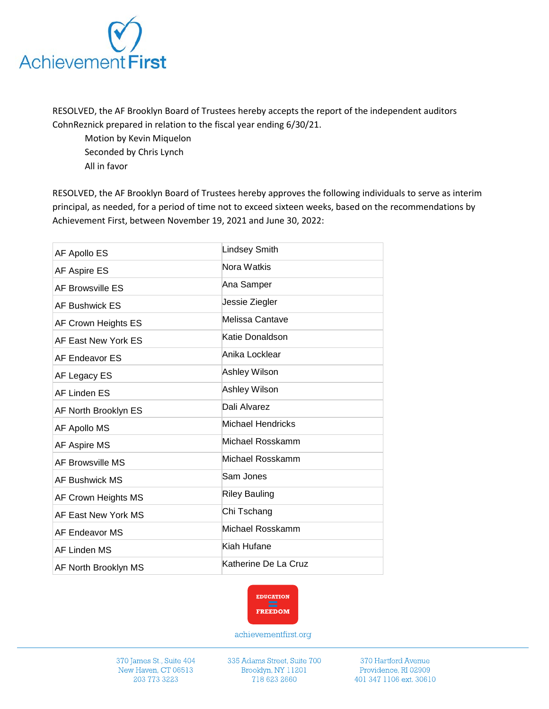

RESOLVED, the AF Brooklyn Board of Trustees hereby accepts the report of the independent auditors CohnReznick prepared in relation to the fiscal year ending 6/30/21.

Motion by Kevin Miquelon Seconded by Chris Lynch All in favor

RESOLVED, the AF Brooklyn Board of Trustees hereby approves the following individuals to serve as interim principal, as needed, for a period of time not to exceed sixteen weeks, based on the recommendations by Achievement First, between November 19, 2021 and June 30, 2022:

| AF Apollo ES          | <b>Lindsey Smith</b> |
|-----------------------|----------------------|
| AF Aspire ES          | Nora Watkis          |
| AF Browsville ES      | Ana Samper           |
| AF Bushwick ES        | Jessie Ziegler       |
| AF Crown Heights ES   | Melissa Cantave      |
| AF East New York ES   | Katie Donaldson      |
| AF Endeavor ES        | Anika Locklear       |
| AF Legacy ES          | Ashley Wilson        |
| AF Linden ES          | Ashley Wilson        |
| AF North Brooklyn ES  | Dali Alvarez         |
| AF Apollo MS          | Michael Hendricks    |
| AF Aspire MS          | Michael Rosskamm     |
| AF Browsville MS      | Michael Rosskamm     |
| <b>AF Bushwick MS</b> | Sam Jones            |
| AF Crown Heights MS   | <b>Riley Bauling</b> |
| AF East New York MS   | Chi Tschang          |
| AF Endeavor MS        | Michael Rosskamm     |
| AF Linden MS          | Kiah Hufane          |
| AF North Brooklyn MS  | Katherine De La Cruz |



achievementfirst.org

370 James St., Suite 404 New Haven, CT 06513 203 773 3223

335 Adams Street, Suite 700 Brooklyn, NY 11201 718 623 2660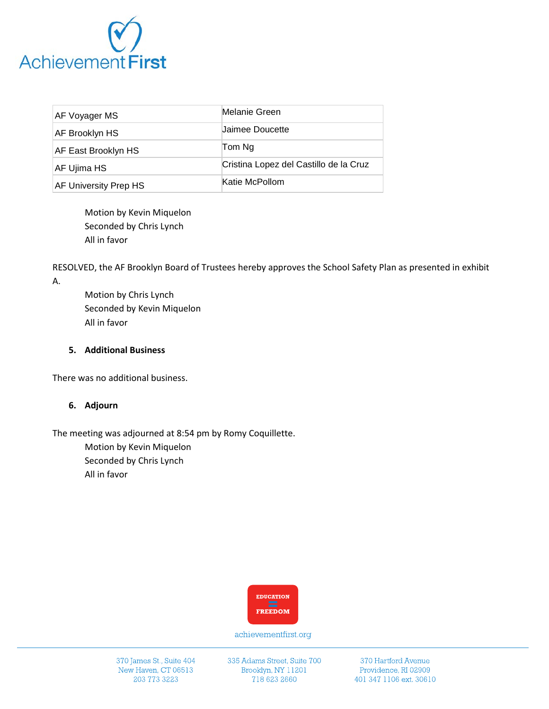

| AF Voyager MS         | Melanie Green                          |
|-----------------------|----------------------------------------|
| AF Brooklyn HS        | <b>Jaimee Doucette</b>                 |
| AF East Brooklyn HS   | Tom Ng                                 |
| AF Ujima HS           | Cristina Lopez del Castillo de la Cruz |
| AF University Prep HS | Katie McPollom                         |

Motion by Kevin Miquelon Seconded by Chris Lynch All in favor

RESOLVED, the AF Brooklyn Board of Trustees hereby approves the School Safety Plan as presented in exhibit A.

Motion by Chris Lynch Seconded by Kevin Miquelon All in favor

## **5. Additional Business**

There was no additional business.

#### **6. Adjourn**

The meeting was adjourned at 8:54 pm by Romy Coquillette.

Motion by Kevin Miquelon Seconded by Chris Lynch All in favor



achievementfirst.org

370 James St., Suite 404 New Haven, CT 06513 203 773 3223

335 Adams Street, Suite 700 Brooklyn, NY 11201 718 623 2660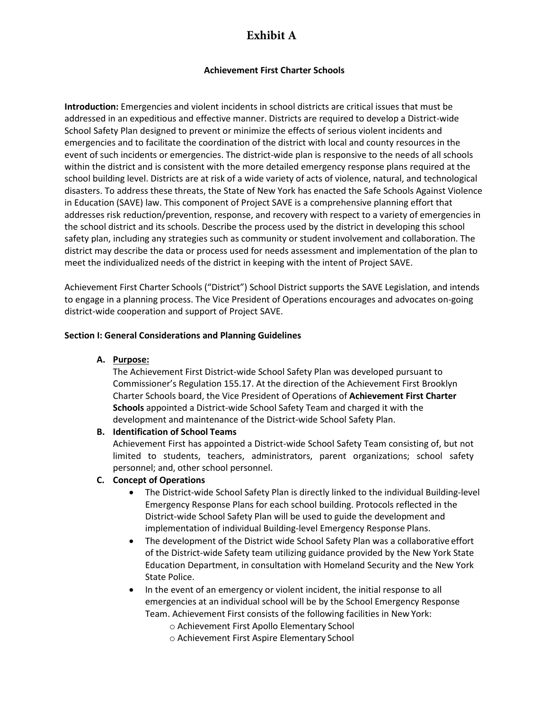# **Exhibit A**

## **Achievement First Charter Schools**

**Introduction:** Emergencies and violent incidents in school districts are critical issues that must be addressed in an expeditious and effective manner. Districts are required to develop a District-wide School Safety Plan designed to prevent or minimize the effects of serious violent incidents and emergencies and to facilitate the coordination of the district with local and county resources in the event of such incidents or emergencies. The district-wide plan is responsive to the needs of all schools within the district and is consistent with the more detailed emergency response plans required at the school building level. Districts are at risk of a wide variety of acts of violence, natural, and technological disasters. To address these threats, the State of New York has enacted the Safe Schools Against Violence in Education (SAVE) law. This component of Project SAVE is a comprehensive planning effort that addresses risk reduction/prevention, response, and recovery with respect to a variety of emergencies in the school district and its schools. Describe the process used by the district in developing this school safety plan, including any strategies such as community or student involvement and collaboration. The district may describe the data or process used for needs assessment and implementation of the plan to meet the individualized needs of the district in keeping with the intent of Project SAVE.

Achievement First Charter Schools ("District") School District supports the SAVE Legislation, and intends to engage in a planning process. The Vice President of Operations encourages and advocates on-going district-wide cooperation and support of Project SAVE.

#### **Section I: General Considerations and Planning Guidelines**

**A. Purpose:**

The Achievement First District-wide School Safety Plan was developed pursuant to Commissioner's Regulation 155.17. At the direction of the Achievement First Brooklyn Charter Schools board, the Vice President of Operations of **Achievement First Charter Schools** appointed a District-wide School Safety Team and charged it with the development and maintenance of the District-wide School Safety Plan.

#### **B. Identification of School Teams**

Achievement First has appointed a District-wide School Safety Team consisting of, but not limited to students, teachers, administrators, parent organizations; school safety personnel; and, other school personnel.

#### **C. Concept of Operations**

- The District-wide School Safety Plan is directly linked to the individual Building-level Emergency Response Plans for each school building. Protocols reflected in the District-wide School Safety Plan will be used to guide the development and implementation of individual Building-level Emergency Response Plans.
- The development of the District wide School Safety Plan was a collaborative effort of the District-wide Safety team utilizing guidance provided by the New York State Education Department, in consultation with Homeland Security and the New York State Police.
- In the event of an emergency or violent incident, the initial response to all emergencies at an individual school will be by the School Emergency Response Team. Achievement First consists of the following facilities in New York:
	- o Achievement First Apollo Elementary School
	- o Achievement First Aspire Elementary School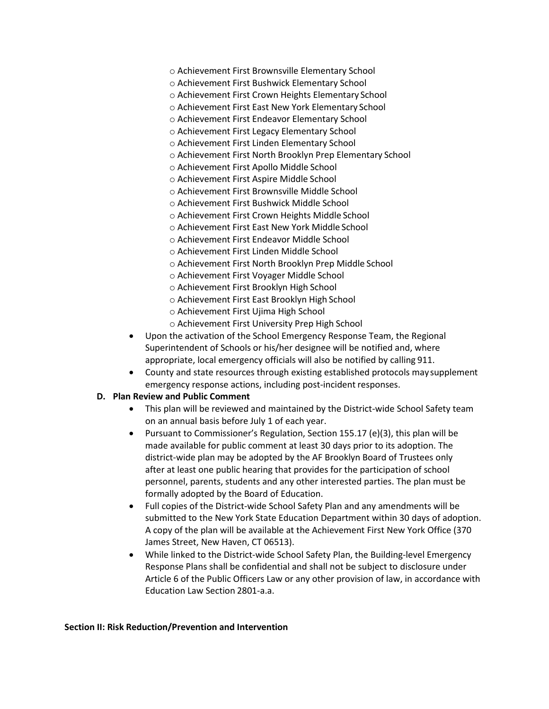- o Achievement First Brownsville Elementary School
- o Achievement First Bushwick Elementary School
- o Achievement First Crown Heights Elementary School
- o Achievement First East New York Elementary School
- o Achievement First Endeavor Elementary School
- o Achievement First Legacy Elementary School
- o Achievement First Linden Elementary School
- o Achievement First North Brooklyn Prep Elementary School
- o Achievement First Apollo Middle School
- o Achievement First Aspire Middle School
- o Achievement First Brownsville Middle School
- o Achievement First Bushwick Middle School
- o Achievement First Crown Heights Middle School
- o Achievement First East New York Middle School
- o Achievement First Endeavor Middle School
- o Achievement First Linden Middle School
- o Achievement First North Brooklyn Prep Middle School
- o Achievement First Voyager Middle School
- o Achievement First Brooklyn High School
- o Achievement First East Brooklyn High School
- o Achievement First Ujima High School
- o Achievement First University Prep High School
- Upon the activation of the School Emergency Response Team, the Regional Superintendent of Schools or his/her designee will be notified and, where appropriate, local emergency officials will also be notified by calling 911.
- County and state resources through existing established protocols maysupplement emergency response actions, including post-incident responses.

#### **D. Plan Review and Public Comment**

- This plan will be reviewed and maintained by the District-wide School Safety team on an annual basis before July 1 of each year.
- Pursuant to Commissioner's Regulation, Section 155.17 (e)(3), this plan will be made available for public comment at least 30 days prior to its adoption. The district-wide plan may be adopted by the AF Brooklyn Board of Trustees only after at least one public hearing that provides for the participation of school personnel, parents, students and any other interested parties. The plan must be formally adopted by the Board of Education.
- Full copies of the District-wide School Safety Plan and any amendments will be submitted to the New York State Education Department within 30 days of adoption. A copy of the plan will be available at the Achievement First New York Office (370 James Street, New Haven, CT 06513).
- While linked to the District-wide School Safety Plan, the Building-level Emergency Response Plans shall be confidential and shall not be subject to disclosure under Article 6 of the Public Officers Law or any other provision of law, in accordance with Education Law Section 2801-a.a.

#### **Section II: Risk Reduction/Prevention and Intervention**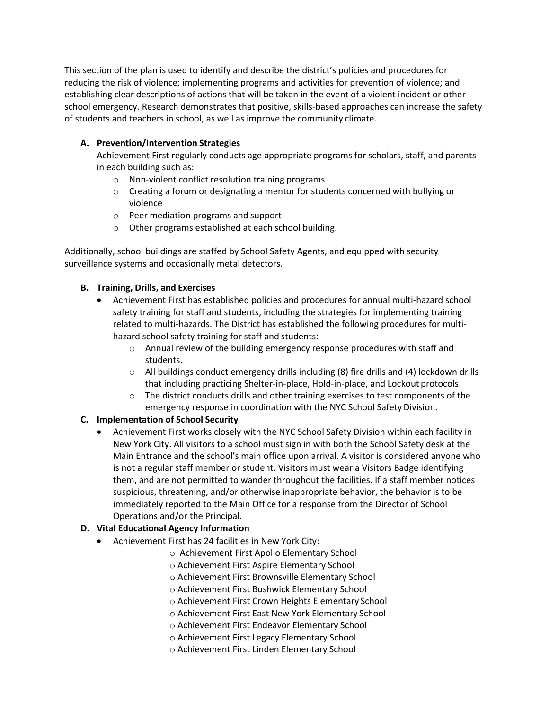This section of the plan is used to identify and describe the district's policies and procedures for reducing the risk of violence; implementing programs and activities for prevention of violence; and establishing clear descriptions of actions that will be taken in the event of a violent incident or other school emergency. Research demonstrates that positive, skills-based approaches can increase the safety of students and teachers in school, as well as improve the community climate.

## **A. Prevention/Intervention Strategies**

Achievement First regularly conducts age appropriate programs for scholars, staff, and parents in each building such as:

- o Non-violent conflict resolution training programs
- $\circ$  Creating a forum or designating a mentor for students concerned with bullying or violence
- o Peer mediation programs and support
- o Other programs established at each school building.

Additionally, school buildings are staffed by School Safety Agents, and equipped with security surveillance systems and occasionally metal detectors.

## **B. Training, Drills, and Exercises**

- Achievement First has established policies and procedures for annual multi-hazard school safety training for staff and students, including the strategies for implementing training related to multi-hazards. The District has established the following procedures for multihazard school safety training for staff and students:
	- o Annual review of the building emergency response procedures with staff and students.
	- $\circ$  All buildings conduct emergency drills including (8) fire drills and (4) lockdown drills that including practicing Shelter-in-place, Hold-in-place, and Lockout protocols.
	- $\circ$  The district conducts drills and other training exercises to test components of the emergency response in coordination with the NYC School Safety Division.

# **C. Implementation of School Security**

• Achievement First works closely with the NYC School Safety Division within each facility in New York City. All visitors to a school must sign in with both the School Safety desk at the Main Entrance and the school's main office upon arrival. A visitor is considered anyone who is not a regular staff member or student. Visitors must wear a Visitors Badge identifying them, and are not permitted to wander throughout the facilities. If a staff member notices suspicious, threatening, and/or otherwise inappropriate behavior, the behavior is to be immediately reported to the Main Office for a response from the Director of School Operations and/or the Principal.

# **D. Vital Educational Agency Information**

- Achievement First has 24 facilities in New York City:
	- o Achievement First Apollo Elementary School
	- o Achievement First Aspire Elementary School
	- o Achievement First Brownsville Elementary School
	- o Achievement First Bushwick Elementary School
	- o Achievement First Crown Heights Elementary School
	- o Achievement First East New York Elementary School
	- o Achievement First Endeavor Elementary School
	- o Achievement First Legacy Elementary School
	- o Achievement First Linden Elementary School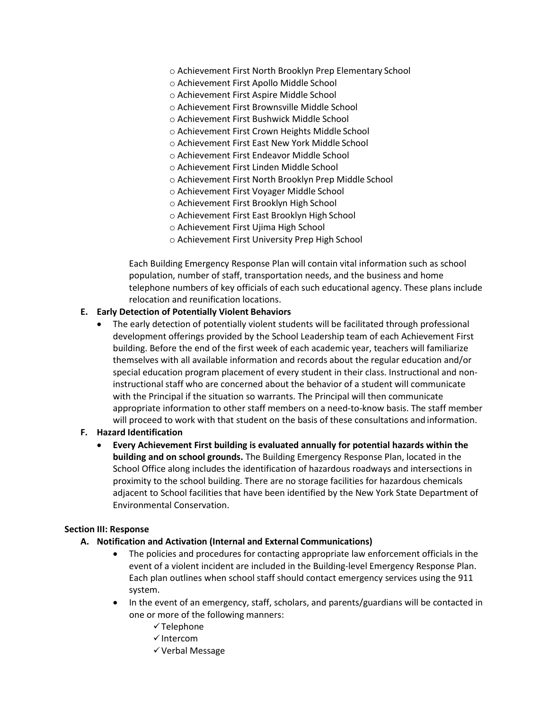- o Achievement First North Brooklyn Prep Elementary School
- o Achievement First Apollo Middle School
- o Achievement First Aspire Middle School
- o Achievement First Brownsville Middle School
- o Achievement First Bushwick Middle School
- o Achievement First Crown Heights Middle School
- o Achievement First East New York Middle School
- o Achievement First Endeavor Middle School
- o Achievement First Linden Middle School
- o Achievement First North Brooklyn Prep Middle School
- o Achievement First Voyager Middle School
- o Achievement First Brooklyn High School
- o Achievement First East Brooklyn High School
- o Achievement First Ujima High School
- o Achievement First University Prep High School

Each Building Emergency Response Plan will contain vital information such as school population, number of staff, transportation needs, and the business and home telephone numbers of key officials of each such educational agency. These plans include relocation and reunification locations.

#### **E. Early Detection of Potentially Violent Behaviors**

• The early detection of potentially violent students will be facilitated through professional development offerings provided by the School Leadership team of each Achievement First building. Before the end of the first week of each academic year, teachers will familiarize themselves with all available information and records about the regular education and/or special education program placement of every student in their class. Instructional and noninstructional staff who are concerned about the behavior of a student will communicate with the Principal if the situation so warrants. The Principal will then communicate appropriate information to other staff members on a need-to-know basis. The staff member will proceed to work with that student on the basis of these consultations and information.

#### **F. Hazard Identification**

• **Every Achievement First building is evaluated annually for potential hazards within the building and on school grounds.** The Building Emergency Response Plan, located in the School Office along includes the identification of hazardous roadways and intersections in proximity to the school building. There are no storage facilities for hazardous chemicals adjacent to School facilities that have been identified by the New York State Department of Environmental Conservation.

#### **Section III: Response**

- **A. Notification and Activation (Internal and External Communications)**
	- The policies and procedures for contacting appropriate law enforcement officials in the event of a violent incident are included in the Building-level Emergency Response Plan. Each plan outlines when school staff should contact emergency services using the 911 system.
	- In the event of an emergency, staff, scholars, and parents/guardians will be contacted in one or more of the following manners:
		- $\checkmark$  Telephone
		- $\checkmark$  Intercom
		- Verbal Message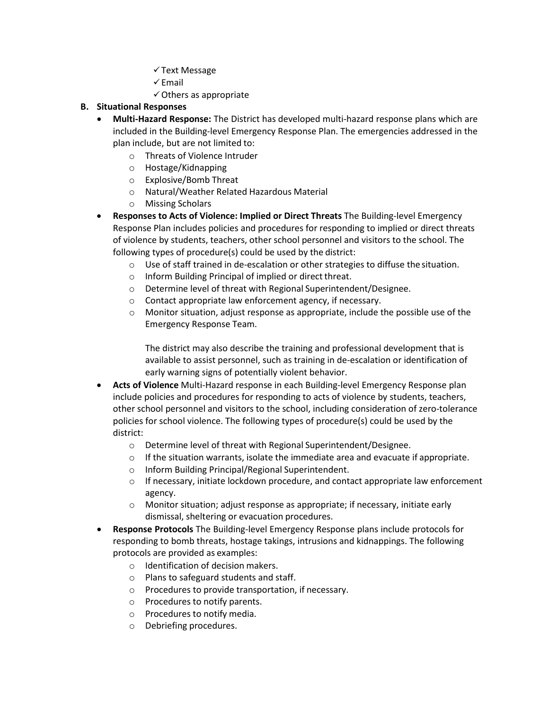- $\checkmark$  Text Message
- $\checkmark$  Email
- $\checkmark$  Others as appropriate

## **B. Situational Responses**

- **Multi-Hazard Response:** The District has developed multi-hazard response plans which are included in the Building-level Emergency Response Plan. The emergencies addressed in the plan include, but are not limited to:
	- o Threats of Violence Intruder
	- o Hostage/Kidnapping
	- o Explosive/Bomb Threat
	- o Natural/Weather Related Hazardous Material
	- o Missing Scholars
- **Responses to Acts of Violence: Implied or Direct Threats** The Building-level Emergency Response Plan includes policies and procedures for responding to implied or direct threats of violence by students, teachers, other school personnel and visitors to the school. The following types of procedure(s) could be used by the district:
	- $\circ$  Use of staff trained in de-escalation or other strategies to diffuse the situation.
	- o Inform Building Principal of implied or direct threat.
	- o Determine level of threat with Regional Superintendent/Designee.
	- o Contact appropriate law enforcement agency, if necessary.
	- o Monitor situation, adjust response as appropriate, include the possible use of the Emergency Response Team.

The district may also describe the training and professional development that is available to assist personnel, such as training in de-escalation or identification of early warning signs of potentially violent behavior.

- **Acts of Violence** Multi-Hazard response in each Building-level Emergency Response plan include policies and procedures for responding to acts of violence by students, teachers, other school personnel and visitors to the school, including consideration of zero-tolerance policies for school violence. The following types of procedure(s) could be used by the district:
	- o Determine level of threat with Regional Superintendent/Designee.
	- $\circ$  If the situation warrants, isolate the immediate area and evacuate if appropriate.
	- o Inform Building Principal/Regional Superintendent.
	- $\circ$  If necessary, initiate lockdown procedure, and contact appropriate law enforcement agency.
	- o Monitor situation; adjust response as appropriate; if necessary, initiate early dismissal, sheltering or evacuation procedures.
- **Response Protocols** The Building-level Emergency Response plans include protocols for responding to bomb threats, hostage takings, intrusions and kidnappings. The following protocols are provided as examples:
	- o Identification of decision makers.
	- o Plans to safeguard students and staff.
	- o Procedures to provide transportation, if necessary.
	- o Procedures to notify parents.
	- o Procedures to notify media.
	- o Debriefing procedures.